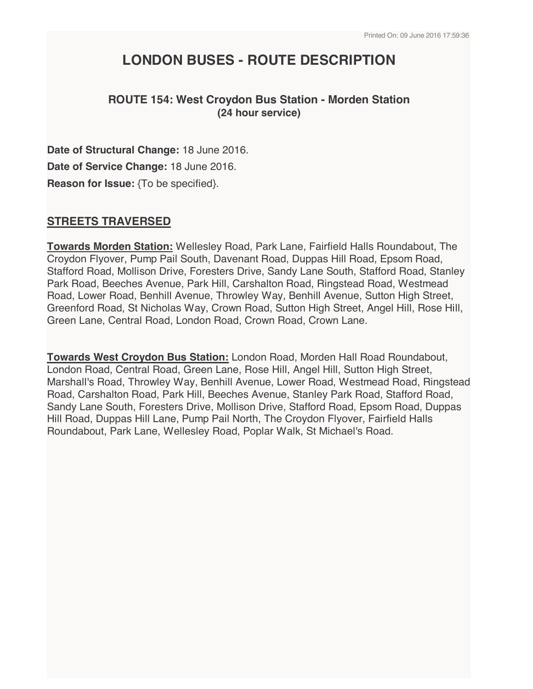# **LONDON BUSES - ROUTE DESCRIPTION**

# **ROUTE 154: West Croydon Bus Station - Morden Station (24 hour service)**

**Date of Structural Change:** 18 June 2016. **Date of Service Change:** 18 June 2016. **Reason for Issue:** {To be specified}.

# **STREETS TRAVERSED**

**Towards Morden Station:** Wellesley Road, Park Lane, Fairfield Halls Roundabout, The Croydon Flyover, Pump Pail South, Davenant Road, Duppas Hill Road, Epsom Road, Stafford Road, Mollison Drive, Foresters Drive, Sandy Lane South, Stafford Road, Stanley Park Road, Beeches Avenue, Park Hill, Carshalton Road, Ringstead Road, Westmead Road, Lower Road, Benhill Avenue, Throwley Way, Benhill Avenue, Sutton High Street, Greenford Road, St Nicholas Way, Crown Road, Sutton High Street, Angel Hill, Rose Hill, Green Lane, Central Road, London Road, Crown Road, Crown Lane.

**Towards West Croydon Bus Station:** London Road, Morden Hall Road Roundabout, London Road, Central Road, Green Lane, Rose Hill, Angel Hill, Sutton High Street, Marshall's Road, Throwley Way, Benhill Avenue, Lower Road, Westmead Road, Ringstead Road, Carshalton Road, Park Hill, Beeches Avenue, Stanley Park Road, Stafford Road, Sandy Lane South, Foresters Drive, Mollison Drive, Stafford Road, Epsom Road, Duppas Hill Road, Duppas Hill Lane, Pump Pail North, The Croydon Flyover, Fairfield Halls Roundabout, Park Lane, Wellesley Road, Poplar Walk, St Michael's Road.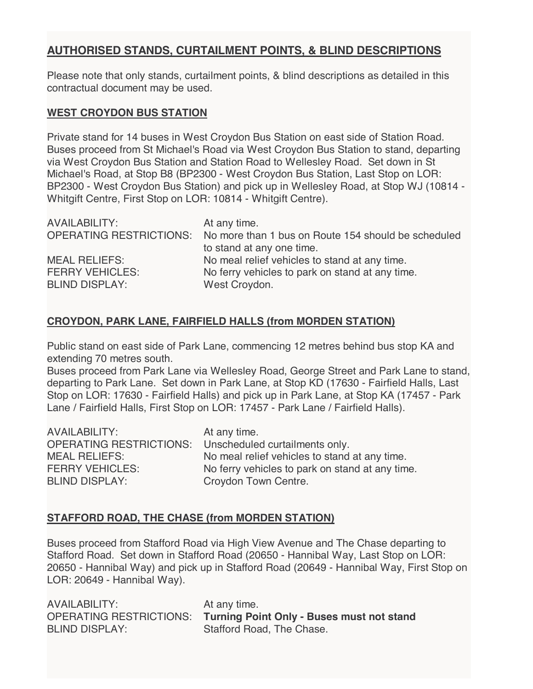# **AUTHORISED STANDS, CURTAILMENT POINTS, & BLIND DESCRIPTIONS**

Please note that only stands, curtailment points, & blind descriptions as detailed in this contractual document may be used.

#### **WEST CROYDON BUS STATION**

Private stand for 14 buses in West Croydon Bus Station on east side of Station Road. Buses proceed from St Michael's Road via West Croydon Bus Station to stand, departing via West Croydon Bus Station and Station Road to Wellesley Road. Set down in St Michael's Road, at Stop B8 (BP2300 - West Croydon Bus Station, Last Stop on LOR: BP2300 - West Croydon Bus Station) and pick up in Wellesley Road, at Stop WJ (10814 - Whitgift Centre, First Stop on LOR: 10814 - Whitgift Centre).

| At any time.                                                                |
|-----------------------------------------------------------------------------|
| OPERATING RESTRICTIONS: No more than 1 bus on Route 154 should be scheduled |
| to stand at any one time.                                                   |
| No meal relief vehicles to stand at any time.                               |
| No ferry vehicles to park on stand at any time.                             |
| West Croydon.                                                               |
|                                                                             |

# **CROYDON, PARK LANE, FAIRFIELD HALLS (from MORDEN STATION)**

Public stand on east side of Park Lane, commencing 12 metres behind bus stop KA and extending 70 metres south.

Buses proceed from Park Lane via Wellesley Road, George Street and Park Lane to stand, departing to Park Lane. Set down in Park Lane, at Stop KD (17630 - Fairfield Halls, Last Stop on LOR: 17630 - Fairfield Halls) and pick up in Park Lane, at Stop KA (17457 - Park Lane / Fairfield Halls, First Stop on LOR: 17457 - Park Lane / Fairfield Halls).

| <b>AVAILABILITY:</b>   | At any time.                                           |
|------------------------|--------------------------------------------------------|
|                        | OPERATING RESTRICTIONS: Unscheduled curtailments only. |
| <b>MEAL RELIEFS:</b>   | No meal relief vehicles to stand at any time.          |
| <b>FERRY VEHICLES:</b> | No ferry vehicles to park on stand at any time.        |
| <b>BLIND DISPLAY:</b>  | Croydon Town Centre.                                   |

## **STAFFORD ROAD, THE CHASE (from MORDEN STATION)**

Buses proceed from Stafford Road via High View Avenue and The Chase departing to Stafford Road. Set down in Stafford Road (20650 - Hannibal Way, Last Stop on LOR: 20650 - Hannibal Way) and pick up in Stafford Road (20649 - Hannibal Way, First Stop on LOR: 20649 - Hannibal Way).

AVAILABILITY: At any time. BLIND DISPLAY: Stafford Road, The Chase.

OPERATING RESTRICTIONS: **Turning Point Only - Buses must not stand**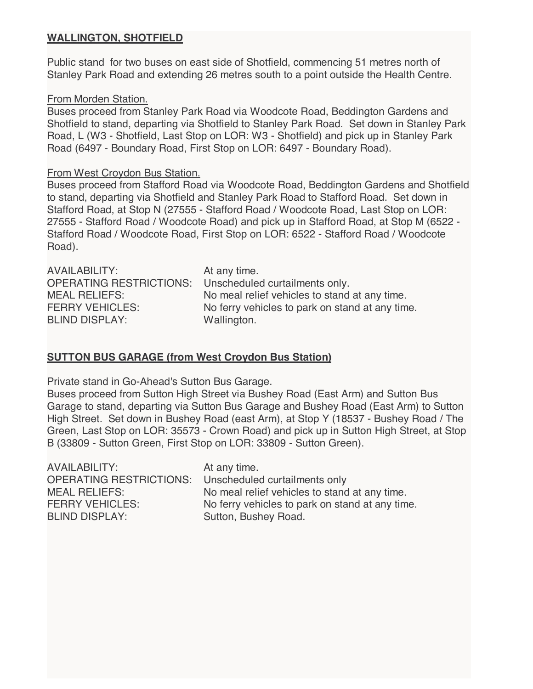## **WALLINGTON, SHOTFIELD**

Public stand for two buses on east side of Shotfield, commencing 51 metres north of Stanley Park Road and extending 26 metres south to a point outside the Health Centre.

#### From Morden Station.

Buses proceed from Stanley Park Road via Woodcote Road, Beddington Gardens and Shotfield to stand, departing via Shotfield to Stanley Park Road. Set down in Stanley Park Road, L (W3 - Shotfield, Last Stop on LOR: W3 - Shotfield) and pick up in Stanley Park Road (6497 - Boundary Road, First Stop on LOR: 6497 - Boundary Road).

#### From West Croydon Bus Station.

Buses proceed from Stafford Road via Woodcote Road, Beddington Gardens and Shotfield to stand, departing via Shotfield and Stanley Park Road to Stafford Road. Set down in Stafford Road, at Stop N (27555 - Stafford Road / Woodcote Road, Last Stop on LOR: 27555 - Stafford Road / Woodcote Road) and pick up in Stafford Road, at Stop M (6522 - Stafford Road / Woodcote Road, First Stop on LOR: 6522 - Stafford Road / Woodcote Road).

| AVAILABILITY:                  | At any time.                                    |
|--------------------------------|-------------------------------------------------|
| <b>OPERATING RESTRICTIONS:</b> | Unscheduled curtailments only.                  |
| <b>MEAL RELIEFS:</b>           | No meal relief vehicles to stand at any time.   |
| <b>FERRY VEHICLES:</b>         | No ferry vehicles to park on stand at any time. |
| <b>BLIND DISPLAY:</b>          | Wallington.                                     |

## **SUTTON BUS GARAGE (from West Croydon Bus Station)**

Private stand in Go-Ahead's Sutton Bus Garage.

Buses proceed from Sutton High Street via Bushey Road (East Arm) and Sutton Bus Garage to stand, departing via Sutton Bus Garage and Bushey Road (East Arm) to Sutton High Street. Set down in Bushey Road (east Arm), at Stop Y (18537 - Bushey Road / The Green, Last Stop on LOR: 35573 - Crown Road) and pick up in Sutton High Street, at Stop B (33809 - Sutton Green, First Stop on LOR: 33809 - Sutton Green).

AVAILABILITY: At any time. OPERATING RESTRICTIONS: Unscheduled curtailments only BLIND DISPLAY: Sutton, Bushey Road.

MEAL RELIEFS: No meal relief vehicles to stand at any time. FERRY VEHICLES: No ferry vehicles to park on stand at any time.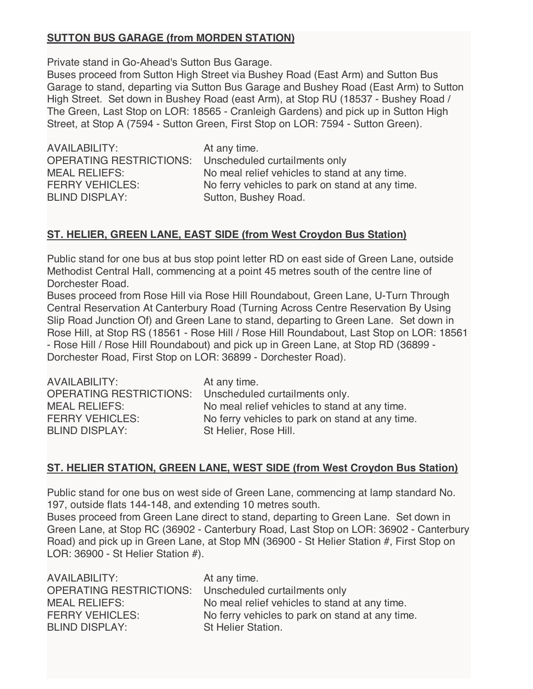# **SUTTON BUS GARAGE (from MORDEN STATION)**

Private stand in Go-Ahead's Sutton Bus Garage.

Buses proceed from Sutton High Street via Bushey Road (East Arm) and Sutton Bus Garage to stand, departing via Sutton Bus Garage and Bushey Road (East Arm) to Sutton High Street. Set down in Bushey Road (east Arm), at Stop RU (18537 - Bushey Road / The Green, Last Stop on LOR: 18565 - Cranleigh Gardens) and pick up in Sutton High Street, at Stop A (7594 - Sutton Green, First Stop on LOR: 7594 - Sutton Green).

AVAILABILITY: At any time. OPERATING RESTRICTIONS: Unscheduled curtailments only BLIND DISPLAY: Sutton, Bushey Road.

MEAL RELIEFS: No meal relief vehicles to stand at any time. FERRY VEHICLES: No ferry vehicles to park on stand at any time.

# **ST. HELIER, GREEN LANE, EAST SIDE (from West Croydon Bus Station)**

Public stand for one bus at bus stop point letter RD on east side of Green Lane, outside Methodist Central Hall, commencing at a point 45 metres south of the centre line of Dorchester Road.

Buses proceed from Rose Hill via Rose Hill Roundabout, Green Lane, U-Turn Through Central Reservation At Canterbury Road (Turning Across Centre Reservation By Using Slip Road Junction Of) and Green Lane to stand, departing to Green Lane. Set down in Rose Hill, at Stop RS (18561 - Rose Hill / Rose Hill Roundabout, Last Stop on LOR: 18561 - Rose Hill / Rose Hill Roundabout) and pick up in Green Lane, at Stop RD (36899 - Dorchester Road, First Stop on LOR: 36899 - Dorchester Road).

| <b>AVAILABILITY:</b>           | At any time.                                    |
|--------------------------------|-------------------------------------------------|
| <b>OPERATING RESTRICTIONS:</b> | Unscheduled curtailments only.                  |
| <b>MEAL RELIEFS:</b>           | No meal relief vehicles to stand at any time.   |
| <b>FERRY VEHICLES:</b>         | No ferry vehicles to park on stand at any time. |
| <b>BLIND DISPLAY:</b>          | St Helier, Rose Hill.                           |

## **ST. HELIER STATION, GREEN LANE, WEST SIDE (from West Croydon Bus Station)**

Public stand for one bus on west side of Green Lane, commencing at lamp standard No. 197, outside flats 144-148, and extending 10 metres south.

Buses proceed from Green Lane direct to stand, departing to Green Lane. Set down in Green Lane, at Stop RC (36902 - Canterbury Road, Last Stop on LOR: 36902 - Canterbury Road) and pick up in Green Lane, at Stop MN (36900 - St Helier Station #, First Stop on LOR: 36900 - St Helier Station #).

| At any time.                                                    |
|-----------------------------------------------------------------|
| <b>OPERATING RESTRICTIONS:</b><br>Unscheduled curtailments only |
| No meal relief vehicles to stand at any time.                   |
| No ferry vehicles to park on stand at any time.                 |
| St Helier Station.                                              |
|                                                                 |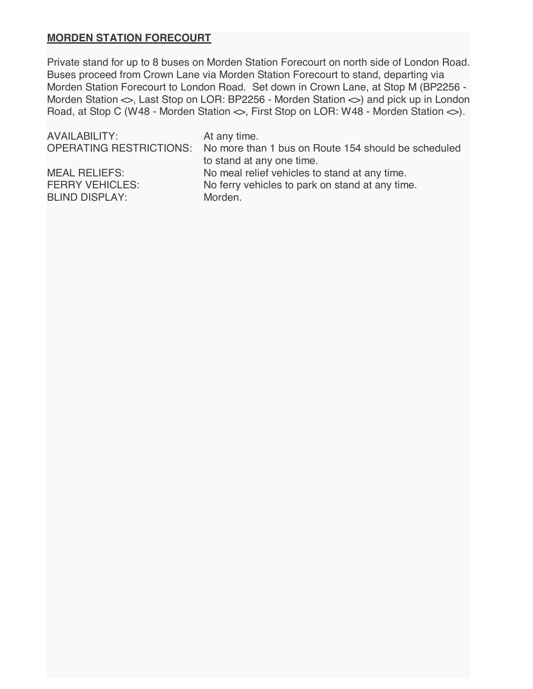## **MORDEN STATION FORECOURT**

Private stand for up to 8 buses on Morden Station Forecourt on north side of London Road. Buses proceed from Crown Lane via Morden Station Forecourt to stand, departing via Morden Station Forecourt to London Road. Set down in Crown Lane, at Stop M (BP2256 - Morden Station  $\Leftrightarrow$ , Last Stop on LOR: BP2256 - Morden Station  $\Leftrightarrow$ ) and pick up in London Road, at Stop C (W48 - Morden Station  $\Leftrightarrow$ , First Stop on LOR: W48 - Morden Station  $\Leftrightarrow$ ).

| AVAILABILITY:          | At any time.<br>OPERATING RESTRICTIONS: No more than 1 bus on Route 154 should be scheduled<br>to stand at any one time. |
|------------------------|--------------------------------------------------------------------------------------------------------------------------|
| <b>MEAL RELIEFS:</b>   | No meal relief vehicles to stand at any time.                                                                            |
| <b>FERRY VEHICLES:</b> | No ferry vehicles to park on stand at any time.                                                                          |
| <b>BLIND DISPLAY:</b>  | Morden.                                                                                                                  |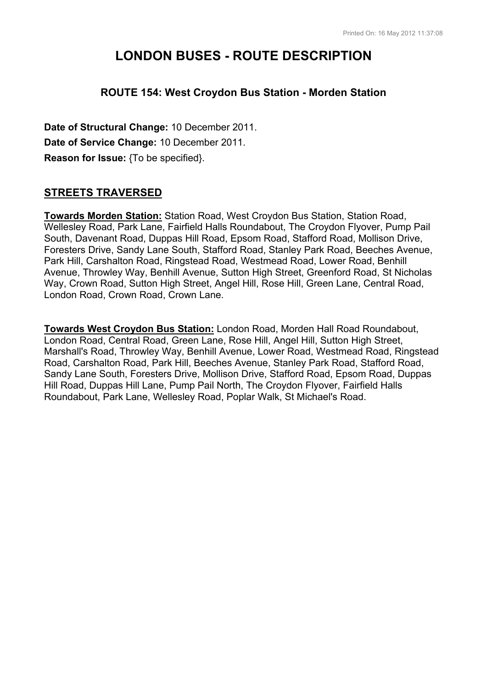# **LONDON BUSES - ROUTE DESCRIPTION**

# **ROUTE 154: West Croydon Bus Station - Morden Station**

**Date of Structural Change:** 10 December 2011. **Date of Service Change:** 10 December 2011. **Reason for Issue:** {To be specified}.

# **STREETS TRAVERSED**

**Towards Morden Station:** Station Road, West Croydon Bus Station, Station Road, Wellesley Road, Park Lane, Fairfield Halls Roundabout, The Croydon Flyover, Pump Pail South, Davenant Road, Duppas Hill Road, Epsom Road, Stafford Road, Mollison Drive, Foresters Drive, Sandy Lane South, Stafford Road, Stanley Park Road, Beeches Avenue, Park Hill, Carshalton Road, Ringstead Road, Westmead Road, Lower Road, Benhill Avenue, Throwley Way, Benhill Avenue, Sutton High Street, Greenford Road, St Nicholas Way, Crown Road, Sutton High Street, Angel Hill, Rose Hill, Green Lane, Central Road, London Road, Crown Road, Crown Lane.

**Towards West Croydon Bus Station:** London Road, Morden Hall Road Roundabout, London Road, Central Road, Green Lane, Rose Hill, Angel Hill, Sutton High Street, Marshall's Road, Throwley Way, Benhill Avenue, Lower Road, Westmead Road, Ringstead Road, Carshalton Road, Park Hill, Beeches Avenue, Stanley Park Road, Stafford Road, Sandy Lane South, Foresters Drive, Mollison Drive, Stafford Road, Epsom Road, Duppas Hill Road, Duppas Hill Lane, Pump Pail North, The Croydon Flyover, Fairfield Halls Roundabout, Park Lane, Wellesley Road, Poplar Walk, St Michael's Road.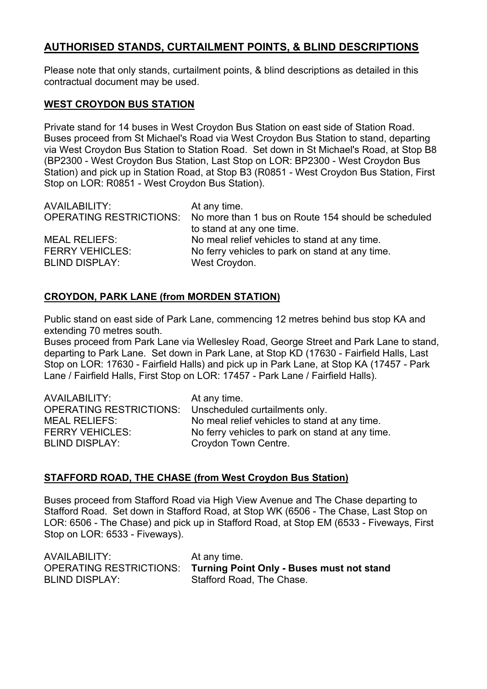# **AUTHORISED STANDS, CURTAILMENT POINTS, & BLIND DESCRIPTIONS**

Please note that only stands, curtailment points, & blind descriptions as detailed in this contractual document may be used.

#### **WEST CROYDON BUS STATION**

Private stand for 14 buses in West Croydon Bus Station on east side of Station Road. Buses proceed from St Michael's Road via West Croydon Bus Station to stand, departing via West Croydon Bus Station to Station Road. Set down in St Michael's Road, at Stop B8 (BP2300 - West Croydon Bus Station, Last Stop on LOR: BP2300 - West Croydon Bus Station) and pick up in Station Road, at Stop B3 (R0851 - West Croydon Bus Station, First Stop on LOR: R0851 - West Croydon Bus Station).

| AVAILABILITY:          | At any time.<br>OPERATING RESTRICTIONS: No more than 1 bus on Route 154 should be scheduled<br>to stand at any one time. |
|------------------------|--------------------------------------------------------------------------------------------------------------------------|
| <b>MEAL RELIEFS:</b>   | No meal relief vehicles to stand at any time.                                                                            |
| <b>FERRY VEHICLES:</b> | No ferry vehicles to park on stand at any time.                                                                          |
| <b>BLIND DISPLAY:</b>  | West Croydon.                                                                                                            |

## **CROYDON, PARK LANE (from MORDEN STATION)**

Public stand on east side of Park Lane, commencing 12 metres behind bus stop KA and extending 70 metres south.

Buses proceed from Park Lane via Wellesley Road, George Street and Park Lane to stand, departing to Park Lane. Set down in Park Lane, at Stop KD (17630 - Fairfield Halls, Last Stop on LOR: 17630 - Fairfield Halls) and pick up in Park Lane, at Stop KA (17457 - Park Lane / Fairfield Halls, First Stop on LOR: 17457 - Park Lane / Fairfield Halls).

| AVAILABILITY:<br><b>OPERATING RESTRICTIONS:</b> | At any time.<br>Unscheduled curtailments only.  |
|-------------------------------------------------|-------------------------------------------------|
| <b>MEAL RELIEFS:</b>                            | No meal relief vehicles to stand at any time.   |
| <b>FERRY VEHICLES:</b>                          | No ferry vehicles to park on stand at any time. |
| <b>BLIND DISPLAY:</b>                           | Croydon Town Centre.                            |

## **STAFFORD ROAD, THE CHASE (from West Croydon Bus Station)**

Buses proceed from Stafford Road via High View Avenue and The Chase departing to Stafford Road. Set down in Stafford Road, at Stop WK (6506 - The Chase, Last Stop on LOR: 6506 - The Chase) and pick up in Stafford Road, at Stop EM (6533 - Fiveways, First Stop on LOR: 6533 - Fiveways).

| AVAILABILITY:         | At any time.                                                      |
|-----------------------|-------------------------------------------------------------------|
|                       | OPERATING RESTRICTIONS: Turning Point Only - Buses must not stand |
| <b>BLIND DISPLAY:</b> | Stafford Road, The Chase.                                         |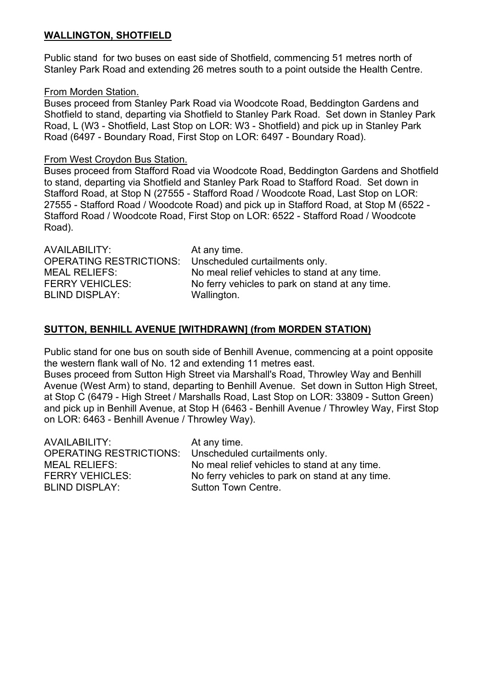#### **WALLINGTON, SHOTFIELD**

Public stand for two buses on east side of Shotfield, commencing 51 metres north of Stanley Park Road and extending 26 metres south to a point outside the Health Centre.

#### From Morden Station.

Buses proceed from Stanley Park Road via Woodcote Road, Beddington Gardens and Shotfield to stand, departing via Shotfield to Stanley Park Road. Set down in Stanley Park Road, L (W3 - Shotfield, Last Stop on LOR: W3 - Shotfield) and pick up in Stanley Park Road (6497 - Boundary Road, First Stop on LOR: 6497 - Boundary Road).

#### From West Croydon Bus Station.

Buses proceed from Stafford Road via Woodcote Road, Beddington Gardens and Shotfield to stand, departing via Shotfield and Stanley Park Road to Stafford Road. Set down in Stafford Road, at Stop N (27555 - Stafford Road / Woodcote Road, Last Stop on LOR: 27555 - Stafford Road / Woodcote Road) and pick up in Stafford Road, at Stop M (6522 - Stafford Road / Woodcote Road, First Stop on LOR: 6522 - Stafford Road / Woodcote Road).

| AVAILABILITY:                  | At any time.                                    |
|--------------------------------|-------------------------------------------------|
| <b>OPERATING RESTRICTIONS:</b> | Unscheduled curtailments only.                  |
| <b>MEAL RELIEFS:</b>           | No meal relief vehicles to stand at any time.   |
| <b>FERRY VEHICLES:</b>         | No ferry vehicles to park on stand at any time. |
| <b>BLIND DISPLAY:</b>          | Wallington.                                     |

# **SUTTON, BENHILL AVENUE [WITHDRAWN] (from MORDEN STATION)**

Public stand for one bus on south side of Benhill Avenue, commencing at a point opposite the western flank wall of No. 12 and extending 11 metres east.

Buses proceed from Sutton High Street via Marshall's Road, Throwley Way and Benhill Avenue (West Arm) to stand, departing to Benhill Avenue. Set down in Sutton High Street, at Stop C (6479 - High Street / Marshalls Road, Last Stop on LOR: 33809 - Sutton Green) and pick up in Benhill Avenue, at Stop H (6463 - Benhill Avenue / Throwley Way, First Stop on LOR: 6463 - Benhill Avenue / Throwley Way).

| AVAILABILITY:           | At any time.                                    |
|-------------------------|-------------------------------------------------|
| OPERATING RESTRICTIONS: | Unscheduled curtailments only.                  |
| MEAL RELIEFS:           | No meal relief vehicles to stand at any time.   |
| <b>FERRY VEHICLES:</b>  | No ferry vehicles to park on stand at any time. |
| <b>BLIND DISPLAY:</b>   | Sutton Town Centre.                             |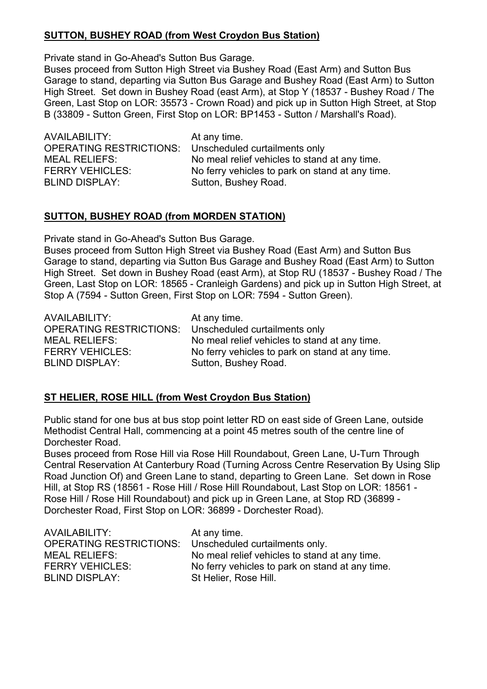# **SUTTON, BUSHEY ROAD (from West Croydon Bus Station)**

Private stand in Go-Ahead's Sutton Bus Garage.

Buses proceed from Sutton High Street via Bushey Road (East Arm) and Sutton Bus Garage to stand, departing via Sutton Bus Garage and Bushey Road (East Arm) to Sutton High Street. Set down in Bushey Road (east Arm), at Stop Y (18537 - Bushey Road / The Green, Last Stop on LOR: 35573 - Crown Road) and pick up in Sutton High Street, at Stop B (33809 - Sutton Green, First Stop on LOR: BP1453 - Sutton / Marshall's Road).

AVAILABILITY: At any time. OPERATING RESTRICTIONS: Unscheduled curtailments only BLIND DISPLAY: Sutton, Bushey Road.

MEAL RELIEFS: No meal relief vehicles to stand at any time. FERRY VEHICLES: No ferry vehicles to park on stand at any time.

## **SUTTON, BUSHEY ROAD (from MORDEN STATION)**

Private stand in Go-Ahead's Sutton Bus Garage.

Buses proceed from Sutton High Street via Bushey Road (East Arm) and Sutton Bus Garage to stand, departing via Sutton Bus Garage and Bushey Road (East Arm) to Sutton High Street. Set down in Bushey Road (east Arm), at Stop RU (18537 - Bushey Road / The Green, Last Stop on LOR: 18565 - Cranleigh Gardens) and pick up in Sutton High Street, at Stop A (7594 - Sutton Green, First Stop on LOR: 7594 - Sutton Green).

AVAILABILITY: At any time. OPERATING RESTRICTIONS: Unscheduled curtailments only BLIND DISPLAY: Sutton, Bushey Road.

MEAL RELIEFS: No meal relief vehicles to stand at any time. FERRY VEHICLES: No ferry vehicles to park on stand at any time.

# **ST HELIER, ROSE HILL (from West Croydon Bus Station)**

Public stand for one bus at bus stop point letter RD on east side of Green Lane, outside Methodist Central Hall, commencing at a point 45 metres south of the centre line of Dorchester Road.

Buses proceed from Rose Hill via Rose Hill Roundabout, Green Lane, U-Turn Through Central Reservation At Canterbury Road (Turning Across Centre Reservation By Using Slip Road Junction Of) and Green Lane to stand, departing to Green Lane. Set down in Rose Hill, at Stop RS (18561 - Rose Hill / Rose Hill Roundabout, Last Stop on LOR: 18561 - Rose Hill / Rose Hill Roundabout) and pick up in Green Lane, at Stop RD (36899 - Dorchester Road, First Stop on LOR: 36899 - Dorchester Road).

| AVAILABILITY:                  | At any time.                                    |
|--------------------------------|-------------------------------------------------|
| <b>OPERATING RESTRICTIONS:</b> | Unscheduled curtailments only.                  |
| <b>MEAL RELIEFS:</b>           | No meal relief vehicles to stand at any time.   |
| <b>FERRY VEHICLES:</b>         | No ferry vehicles to park on stand at any time. |
| <b>BLIND DISPLAY:</b>          | St Helier, Rose Hill.                           |